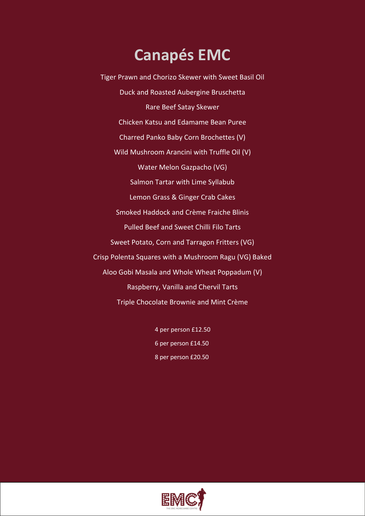# **Canapés EMC**

Tiger Prawn and Chorizo Skewer with Sweet Basil Oil Duck and Roasted Aubergine Bruschetta Rare Beef Satay Skewer Chicken Katsu and Edamame Bean Puree Charred Panko Baby Corn Brochettes (V) Wild Mushroom Arancini with Truffle Oil (V) Water Melon Gazpacho (VG) Salmon Tartar with Lime Syllabub Lemon Grass & Ginger Crab Cakes Smoked Haddock and Crème Fraiche Blinis Pulled Beef and Sweet Chilli Filo Tarts Sweet Potato, Corn and Tarragon Fritters (VG) Crisp Polenta Squares with a Mushroom Ragu (VG) Baked Aloo Gobi Masala and Whole Wheat Poppadum (V) Raspberry, Vanilla and Chervil Tarts Triple Chocolate Brownie and Mint Crème

> 4 per person £12.50 6 per person £14.50 8 per person £20.50

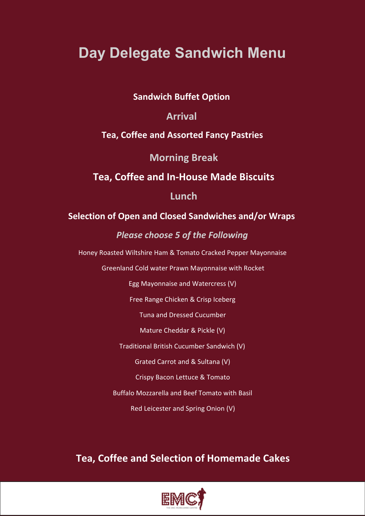# **Day Delegate Sandwich Menu**

### **Sandwich Buffet Option**

### **Arrival**

### **Tea, Coffee and Assorted Fancy Pastries**

### **Morning Break**

### **Tea, Coffee and In-House Made Biscuits**

### **Lunch**

### **Selection of Open and Closed Sandwiches and/or Wraps**

### *Please choose 5 of the Following*

Honey Roasted Wiltshire Ham & Tomato Cracked Pepper Mayonnaise

Greenland Cold water Prawn Mayonnaise with Rocket

Egg Mayonnaise and Watercress (V)

Free Range Chicken & Crisp Iceberg

Tuna and Dressed Cucumber

Mature Cheddar & Pickle (V)

Traditional British Cucumber Sandwich (V)

Grated Carrot and & Sultana (V)

Crispy Bacon Lettuce & Tomato

Buffalo Mozzarella and Beef Tomato with Basil

Red Leicester and Spring Onion (V)

## **Tea, Coffee and Selection of Homemade Cakes**

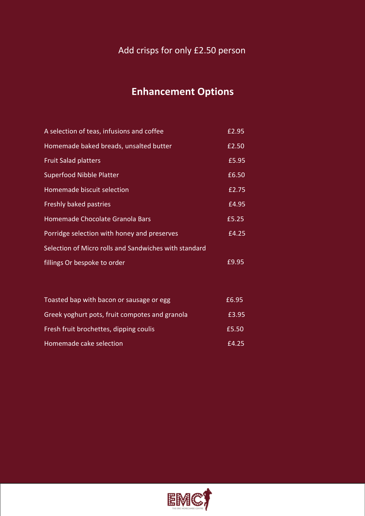### Add crisps for only £2.50 person

## **Enhancement Options**

| A selection of teas, infusions and coffee             | £2.95 |
|-------------------------------------------------------|-------|
| Homemade baked breads, unsalted butter                | £2.50 |
| <b>Fruit Salad platters</b>                           | £5.95 |
| <b>Superfood Nibble Platter</b>                       | £6.50 |
| Homemade biscuit selection                            | E2.75 |
| Freshly baked pastries                                | £4.95 |
| Homemade Chocolate Granola Bars                       | £5.25 |
| Porridge selection with honey and preserves           | £4.25 |
| Selection of Micro rolls and Sandwiches with standard |       |
| fillings Or bespoke to order                          | £9.95 |
|                                                       |       |
|                                                       |       |

| Toasted bap with bacon or sausage or egg       | £6.95 |  |
|------------------------------------------------|-------|--|
| Greek yoghurt pots, fruit compotes and granola | £3.95 |  |
| Fresh fruit brochettes, dipping coulis         | £5.50 |  |
| Homemade cake selection                        | £4.25 |  |

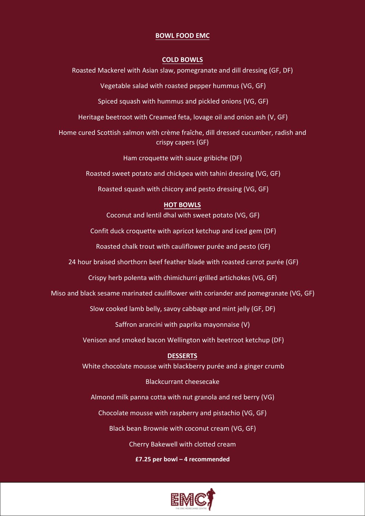### **BOWL FOOD EMC**

#### **COLD BOWLS**

Roasted Mackerel with Asian slaw, pomegranate and dill dressing (GF, DF)

Vegetable salad with roasted pepper hummus (VG, GF)

Spiced squash with hummus and pickled onions (VG, GF)

Heritage beetroot with Creamed feta, lovage oil and onion ash (V, GF)

Home cured Scottish salmon with crème fraîche, dill dressed cucumber, radish and crispy capers (GF)

Ham croquette with sauce gribiche (DF)

Roasted sweet potato and chickpea with tahini dressing (VG, GF)

Roasted squash with chicory and pesto dressing (VG, GF)

### **HOT BOWLS**

Coconut and lentil dhal with sweet potato (VG, GF)

Confit duck croquette with apricot ketchup and iced gem (DF)

Roasted chalk trout with cauliflower purée and pesto (GF)

24 hour braised shorthorn beef feather blade with roasted carrot purée (GF)

Crispy herb polenta with chimichurri grilled artichokes (VG, GF)

Miso and black sesame marinated cauliflower with coriander and pomegranate (VG, GF)

Slow cooked lamb belly, savoy cabbage and mint jelly (GF, DF)

Saffron arancini with paprika mayonnaise (V)

Venison and smoked bacon Wellington with beetroot ketchup (DF)

### **DESSERTS**

White chocolate mousse with blackberry purée and a ginger crumb

### Blackcurrant cheesecake

Almond milk panna cotta with nut granola and red berry (VG)

Chocolate mousse with raspberry and pistachio (VG, GF)

Black bean Brownie with coconut cream (VG, GF)

Cherry Bakewell with clotted cream

#### **£7.25 per bowl – 4 recommended**

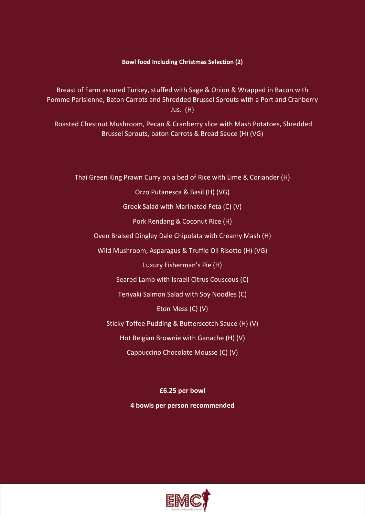#### **Bowl food Including Christmas Selection (2)**

Breast of Farm assured Turkey, stuffed with Sage & Onion & Wrapped in Bacon with Pomme Parisienne, Baton Carrots and Shredded Brussel Sprouts with a Port and Cranberry Jus. (H)

Roasted Chestnut Mushroom, Pecan & Cranberry slice with Mash Potatoes, Shredded Brussel Sprouts, baton Carrots & Bread Sauce (H) (VG)

Thai Green King Prawn Curry on a bed of Rice with Lime & Coriander (H)

Orzo Putanesca & Basil (H) (VG)

Greek Salad with Marinated Feta (C) (V)

Pork Rendang & Coconut Rice (H)

Oven Braised Dingley Dale Chipolata with Creamy Mash (H)

Wild Mushroom, Asparagus & Truffle Oil Risotto (H) (VG)

Luxury Fisherman's Pie (H)

Seared Lamb with Israeli Citrus Couscous (C)

Teriyaki Salmon Salad with Soy Noodles (C)

Eton Mess (C) (V)

Sticky Toffee Pudding & Butterscotch Sauce (H) (V)

Hot Belgian Brownie with Ganache (H) (V)

Cappuccino Chocolate Mousse (C) (V)

**£6.25 per bowl** 

**4 bowls per person recommended** 

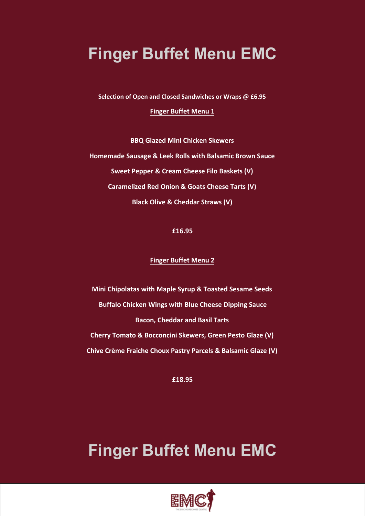# **Finger Buffet Menu EMC**

**Selection of Open and Closed Sandwiches or Wraps @ £6.95**

**Finger Buffet Menu 1**

**BBQ Glazed Mini Chicken Skewers Homemade Sausage & Leek Rolls with Balsamic Brown Sauce Sweet Pepper & Cream Cheese Filo Baskets (V) Caramelized Red Onion & Goats Cheese Tarts (V) Black Olive & Cheddar Straws (V)**

**£16.95** 

### **Finger Buffet Menu 2**

**Mini Chipolatas with Maple Syrup & Toasted Sesame Seeds Buffalo Chicken Wings with Blue Cheese Dipping Sauce Bacon, Cheddar and Basil Tarts Cherry Tomato & Bocconcini Skewers, Green Pesto Glaze (V) Chive Crème Fraiche Choux Pastry Parcels & Balsamic Glaze (V)**

**£18.95** 

# **Finger Buffet Menu EMC**

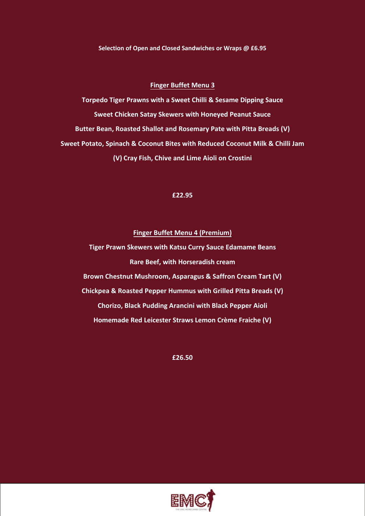**Selection of Open and Closed Sandwiches or Wraps @ £6.95** 

#### **Finger Buffet Menu 3**

**Torpedo Tiger Prawns with a Sweet Chilli & Sesame Dipping Sauce Sweet Chicken Satay Skewers with Honeyed Peanut Sauce Butter Bean, Roasted Shallot and Rosemary Pate with Pitta Breads (V) Sweet Potato, Spinach & Coconut Bites with Reduced Coconut Milk & Chilli Jam (V) Cray Fish, Chive and Lime Aioli on Crostini**

#### **£22.95**

#### **Finger Buffet Menu 4 (Premium)**

**Tiger Prawn Skewers with Katsu Curry Sauce Edamame Beans Rare Beef, with Horseradish cream Brown Chestnut Mushroom, Asparagus & Saffron Cream Tart (V) Chickpea & Roasted Pepper Hummus with Grilled Pitta Breads (V) Chorizo, Black Pudding Arancini with Black Pepper Aioli Homemade Red Leicester Straws Lemon Crème Fraiche (V)**

**£26.50** 

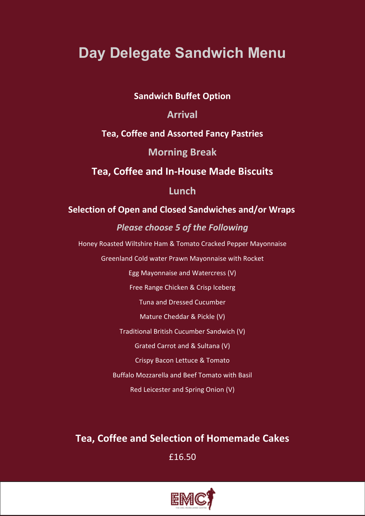# **Day Delegate Sandwich Menu**

### **Sandwich Buffet Option**

### **Arrival**

### **Tea, Coffee and Assorted Fancy Pastries**

### **Morning Break**

### **Tea, Coffee and In-House Made Biscuits**

### **Lunch**

### **Selection of Open and Closed Sandwiches and/or Wraps**

### *Please choose 5 of the Following*

Honey Roasted Wiltshire Ham & Tomato Cracked Pepper Mayonnaise

Greenland Cold water Prawn Mayonnaise with Rocket

Egg Mayonnaise and Watercress (V)

Free Range Chicken & Crisp Iceberg

Tuna and Dressed Cucumber

Mature Cheddar & Pickle (V)

Traditional British Cucumber Sandwich (V)

Grated Carrot and & Sultana (V)

Crispy Bacon Lettuce & Tomato

Buffalo Mozzarella and Beef Tomato with Basil

Red Leicester and Spring Onion (V)

## **Tea, Coffee and Selection of Homemade Cakes**

£16.50

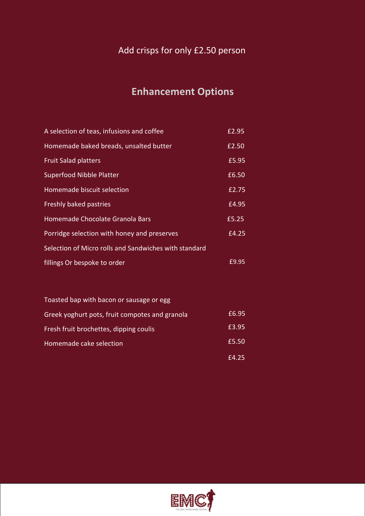### Add crisps for only £2.50 person

## **Enhancement Options**

| A selection of teas, infusions and coffee             | £2.95 |
|-------------------------------------------------------|-------|
| Homemade baked breads, unsalted butter                | £2.50 |
| <b>Fruit Salad platters</b>                           | £5.95 |
| <b>Superfood Nibble Platter</b>                       | £6.50 |
| Homemade biscuit selection                            | £2.75 |
| Freshly baked pastries                                | £4.95 |
| Homemade Chocolate Granola Bars                       | £5.25 |
| Porridge selection with honey and preserves           | £4.25 |
| Selection of Micro rolls and Sandwiches with standard |       |
| fillings Or bespoke to order                          | £9.95 |

| Toasted bap with bacon or sausage or egg       |       |
|------------------------------------------------|-------|
| Greek yoghurt pots, fruit compotes and granola | £6.95 |
| Fresh fruit brochettes, dipping coulis         | £3.95 |
| Homemade cake selection                        | £5.50 |
|                                                | f4.25 |

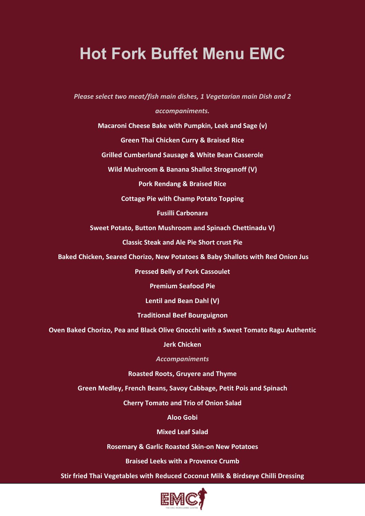# **Hot Fork Buffet Menu EMC**

*Please select two meat/fish main dishes, 1 Vegetarian main Dish and 2* 

### *accompaniments.*

**Macaroni Cheese Bake with Pumpkin, Leek and Sage (v)**

**Green Thai Chicken Curry & Braised Rice**

**Grilled Cumberland Sausage & White Bean Casserole**

**Wild Mushroom & Banana Shallot Stroganoff (V)**

**Pork Rendang & Braised Rice**

**Cottage Pie with Champ Potato Topping**

**Fusilli Carbonara**

**Sweet Potato, Button Mushroom and Spinach Chettinadu V)**

**Classic Steak and Ale Pie Short crust Pie**

**Baked Chicken, Seared Chorizo, New Potatoes & Baby Shallots with Red Onion Jus**

**Pressed Belly of Pork Cassoulet**

**Premium Seafood Pie**

**Lentil and Bean Dahl (V)**

**Traditional Beef Bourguignon** 

**Oven Baked Chorizo, Pea and Black Olive Gnocchi with a Sweet Tomato Ragu Authentic** 

**Jerk Chicken**

*Accompaniments*

**Roasted Roots, Gruyere and Thyme**

**Green Medley, French Beans, Savoy Cabbage, Petit Pois and Spinach**

**Cherry Tomato and Trio of Onion Salad**

**Aloo Gobi** 

**Mixed Leaf Salad**

**Rosemary & Garlic Roasted Skin-on New Potatoes**

**Braised Leeks with a Provence Crumb**

**Stir fried Thai Vegetables with Reduced Coconut Milk & Birdseye Chilli Dressing**

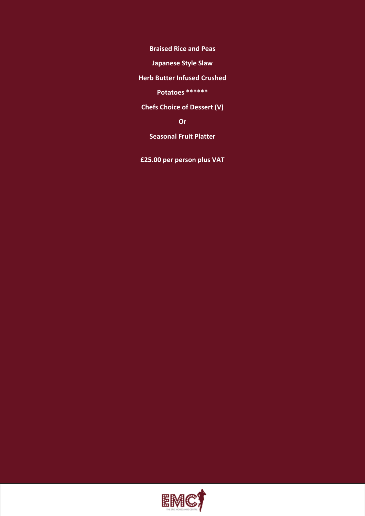**Braised Rice and Peas**

**Japanese Style Slaw**

**Herb Butter Infused Crushed** 

**Potatoes \*\*\*\*\*\***

**Chefs Choice of Dessert (V)**

**Or**

**Seasonal Fruit Platter**

**£25.00 per person plus VAT**

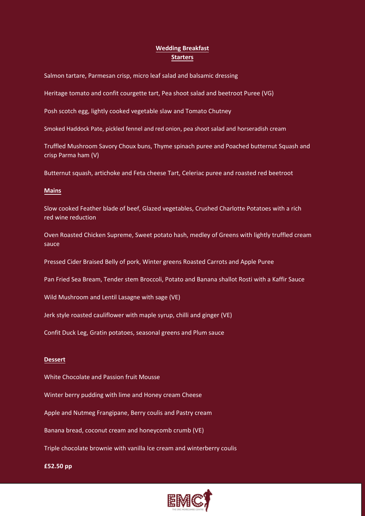### **Wedding Breakfast Starters**

Salmon tartare, Parmesan crisp, micro leaf salad and balsamic dressing

Heritage tomato and confit courgette tart, Pea shoot salad and beetroot Puree (VG)

Posh scotch egg, lightly cooked vegetable slaw and Tomato Chutney

Smoked Haddock Pate, pickled fennel and red onion, pea shoot salad and horseradish cream

Truffled Mushroom Savory Choux buns, Thyme spinach puree and Poached butternut Squash and crisp Parma ham (V)

Butternut squash, artichoke and Feta cheese Tart, Celeriac puree and roasted red beetroot

#### **Mains**

Slow cooked Feather blade of beef, Glazed vegetables, Crushed Charlotte Potatoes with a rich red wine reduction

Oven Roasted Chicken Supreme, Sweet potato hash, medley of Greens with lightly truffled cream sauce

Pressed Cider Braised Belly of pork, Winter greens Roasted Carrots and Apple Puree

Pan Fried Sea Bream, Tender stem Broccoli, Potato and Banana shallot Rosti with a Kaffir Sauce

Wild Mushroom and Lentil Lasagne with sage (VE)

Jerk style roasted cauliflower with maple syrup, chilli and ginger (VE)

Confit Duck Leg, Gratin potatoes, seasonal greens and Plum sauce

#### **Dessert**

White Chocolate and Passion fruit Mousse

Winter berry pudding with lime and Honey cream Cheese

Apple and Nutmeg Frangipane, Berry coulis and Pastry cream

Banana bread, coconut cream and honeycomb crumb (VE)

Triple chocolate brownie with vanilla Ice cream and winterberry coulis

#### **£52.50 pp**

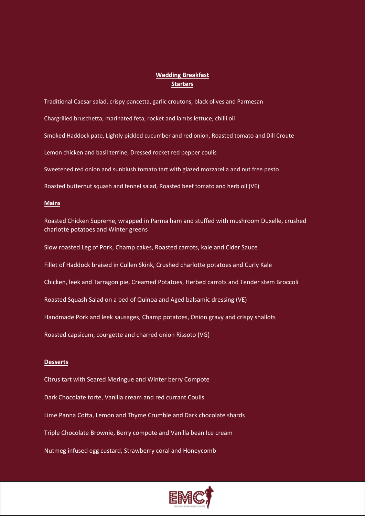### **Wedding Breakfast Starters**

Traditional Caesar salad, crispy pancetta, garlic croutons, black olives and Parmesan Chargrilled bruschetta, marinated feta, rocket and lambs lettuce, chilli oil Smoked Haddock pate, Lightly pickled cucumber and red onion, Roasted tomato and Dill Croute Lemon chicken and basil terrine, Dressed rocket red pepper coulis Sweetened red onion and sunblush tomato tart with glazed mozzarella and nut free pesto Roasted butternut squash and fennel salad, Roasted beef tomato and herb oil (VE)

#### **Mains**

Roasted Chicken Supreme, wrapped in Parma ham and stuffed with mushroom Duxelle, crushed charlotte potatoes and Winter greens

Slow roasted Leg of Pork, Champ cakes, Roasted carrots, kale and Cider Sauce

Fillet of Haddock braised in Cullen Skink, Crushed charlotte potatoes and Curly Kale

Chicken, leek and Tarragon pie, Creamed Potatoes, Herbed carrots and Tender stem Broccoli

Roasted Squash Salad on a bed of Quinoa and Aged balsamic dressing (VE)

Handmade Pork and leek sausages, Champ potatoes, Onion gravy and crispy shallots

Roasted capsicum, courgette and charred onion Rissoto (VG)

#### **Desserts**

Citrus tart with Seared Meringue and Winter berry Compote Dark Chocolate torte, Vanilla cream and red currant Coulis Lime Panna Cotta, Lemon and Thyme Crumble and Dark chocolate shards Triple Chocolate Brownie, Berry compote and Vanilla bean Ice cream Nutmeg infused egg custard, Strawberry coral and Honeycomb